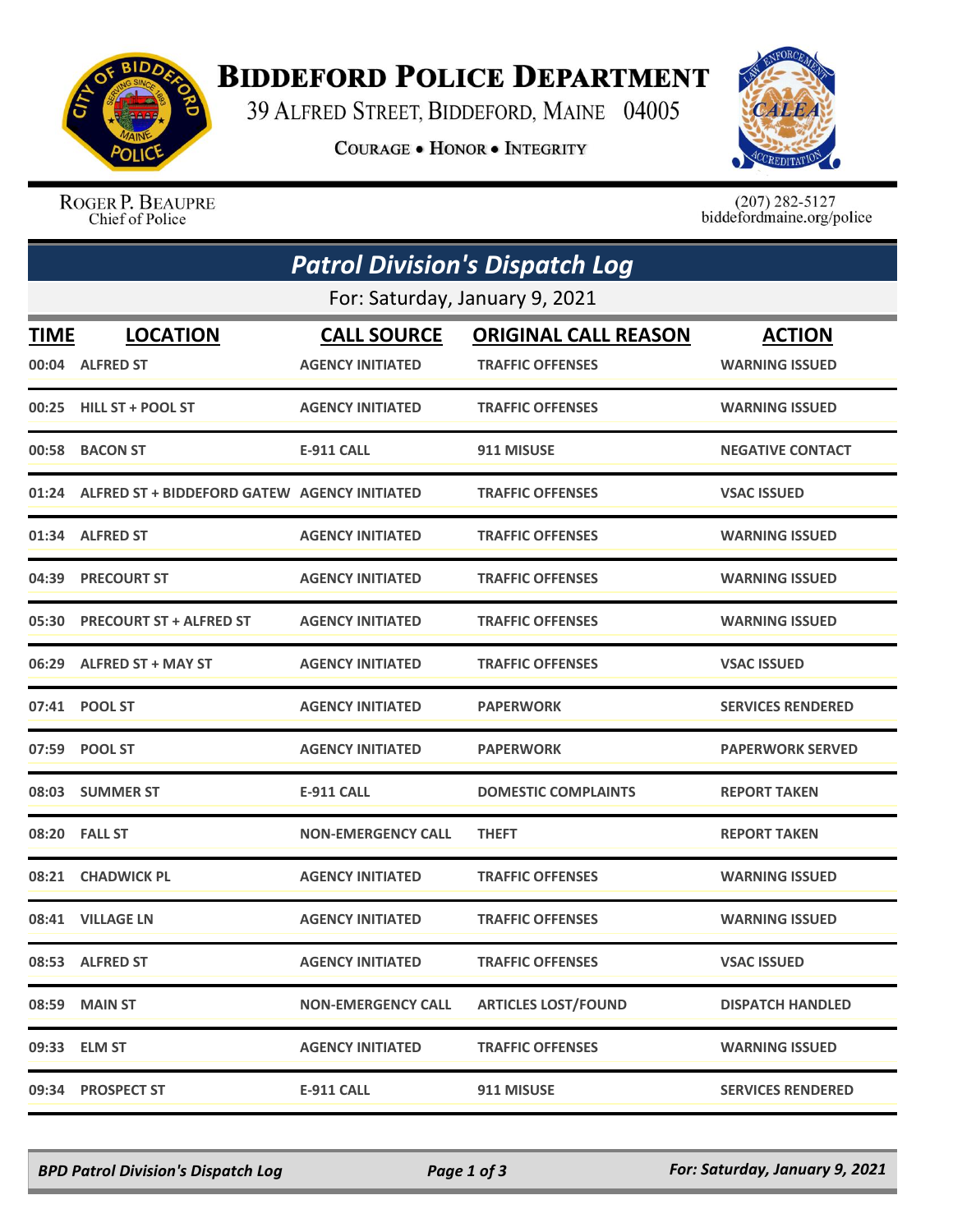

## **BIDDEFORD POLICE DEPARTMENT**

39 ALFRED STREET, BIDDEFORD, MAINE 04005

**COURAGE . HONOR . INTEGRITY** 



ROGER P. BEAUPRE Chief of Police

 $(207)$  282-5127<br>biddefordmaine.org/police

|                                | <b>Patrol Division's Dispatch Log</b>              |                           |                             |                          |  |  |  |  |
|--------------------------------|----------------------------------------------------|---------------------------|-----------------------------|--------------------------|--|--|--|--|
| For: Saturday, January 9, 2021 |                                                    |                           |                             |                          |  |  |  |  |
| <b>TIME</b>                    | <b>LOCATION</b>                                    | <b>CALL SOURCE</b>        | <b>ORIGINAL CALL REASON</b> | <b>ACTION</b>            |  |  |  |  |
|                                | 00:04 ALFRED ST                                    | <b>AGENCY INITIATED</b>   | <b>TRAFFIC OFFENSES</b>     | <b>WARNING ISSUED</b>    |  |  |  |  |
|                                | 00:25 HILL ST + POOL ST                            | <b>AGENCY INITIATED</b>   | <b>TRAFFIC OFFENSES</b>     | <b>WARNING ISSUED</b>    |  |  |  |  |
|                                | 00:58 BACON ST                                     | <b>E-911 CALL</b>         | 911 MISUSE                  | <b>NEGATIVE CONTACT</b>  |  |  |  |  |
|                                | 01:24 ALFRED ST + BIDDEFORD GATEW AGENCY INITIATED |                           | <b>TRAFFIC OFFENSES</b>     | <b>VSAC ISSUED</b>       |  |  |  |  |
|                                | 01:34 ALFRED ST                                    | <b>AGENCY INITIATED</b>   | <b>TRAFFIC OFFENSES</b>     | <b>WARNING ISSUED</b>    |  |  |  |  |
|                                | 04:39 PRECOURT ST                                  | <b>AGENCY INITIATED</b>   | <b>TRAFFIC OFFENSES</b>     | <b>WARNING ISSUED</b>    |  |  |  |  |
|                                | 05:30 PRECOURT ST + ALFRED ST                      | <b>AGENCY INITIATED</b>   | <b>TRAFFIC OFFENSES</b>     | <b>WARNING ISSUED</b>    |  |  |  |  |
|                                | 06:29 ALFRED ST + MAY ST                           | <b>AGENCY INITIATED</b>   | <b>TRAFFIC OFFENSES</b>     | <b>VSAC ISSUED</b>       |  |  |  |  |
|                                | 07:41 POOL ST                                      | <b>AGENCY INITIATED</b>   | <b>PAPERWORK</b>            | <b>SERVICES RENDERED</b> |  |  |  |  |
|                                | 07:59 POOL ST                                      | <b>AGENCY INITIATED</b>   | <b>PAPERWORK</b>            | <b>PAPERWORK SERVED</b>  |  |  |  |  |
|                                | 08:03 SUMMER ST                                    | <b>E-911 CALL</b>         | <b>DOMESTIC COMPLAINTS</b>  | <b>REPORT TAKEN</b>      |  |  |  |  |
|                                | 08:20 FALL ST                                      | <b>NON-EMERGENCY CALL</b> | <b>THEFT</b>                | <b>REPORT TAKEN</b>      |  |  |  |  |
|                                | 08:21 CHADWICK PL                                  | <b>AGENCY INITIATED</b>   | <b>TRAFFIC OFFENSES</b>     | <b>WARNING ISSUED</b>    |  |  |  |  |
|                                | 08:41 VILLAGE LN                                   | <b>AGENCY INITIATED</b>   | <b>TRAFFIC OFFENSES</b>     | <b>WARNING ISSUED</b>    |  |  |  |  |
|                                | 08:53 ALFRED ST                                    | <b>AGENCY INITIATED</b>   | <b>TRAFFIC OFFENSES</b>     | <b>VSAC ISSUED</b>       |  |  |  |  |
| 08:59                          | <b>MAIN ST</b>                                     | <b>NON-EMERGENCY CALL</b> | <b>ARTICLES LOST/FOUND</b>  | <b>DISPATCH HANDLED</b>  |  |  |  |  |
| 09:33                          | <b>ELM ST</b>                                      | <b>AGENCY INITIATED</b>   | <b>TRAFFIC OFFENSES</b>     | <b>WARNING ISSUED</b>    |  |  |  |  |
| 09:34                          | <b>PROSPECT ST</b>                                 | <b>E-911 CALL</b>         | 911 MISUSE                  | <b>SERVICES RENDERED</b> |  |  |  |  |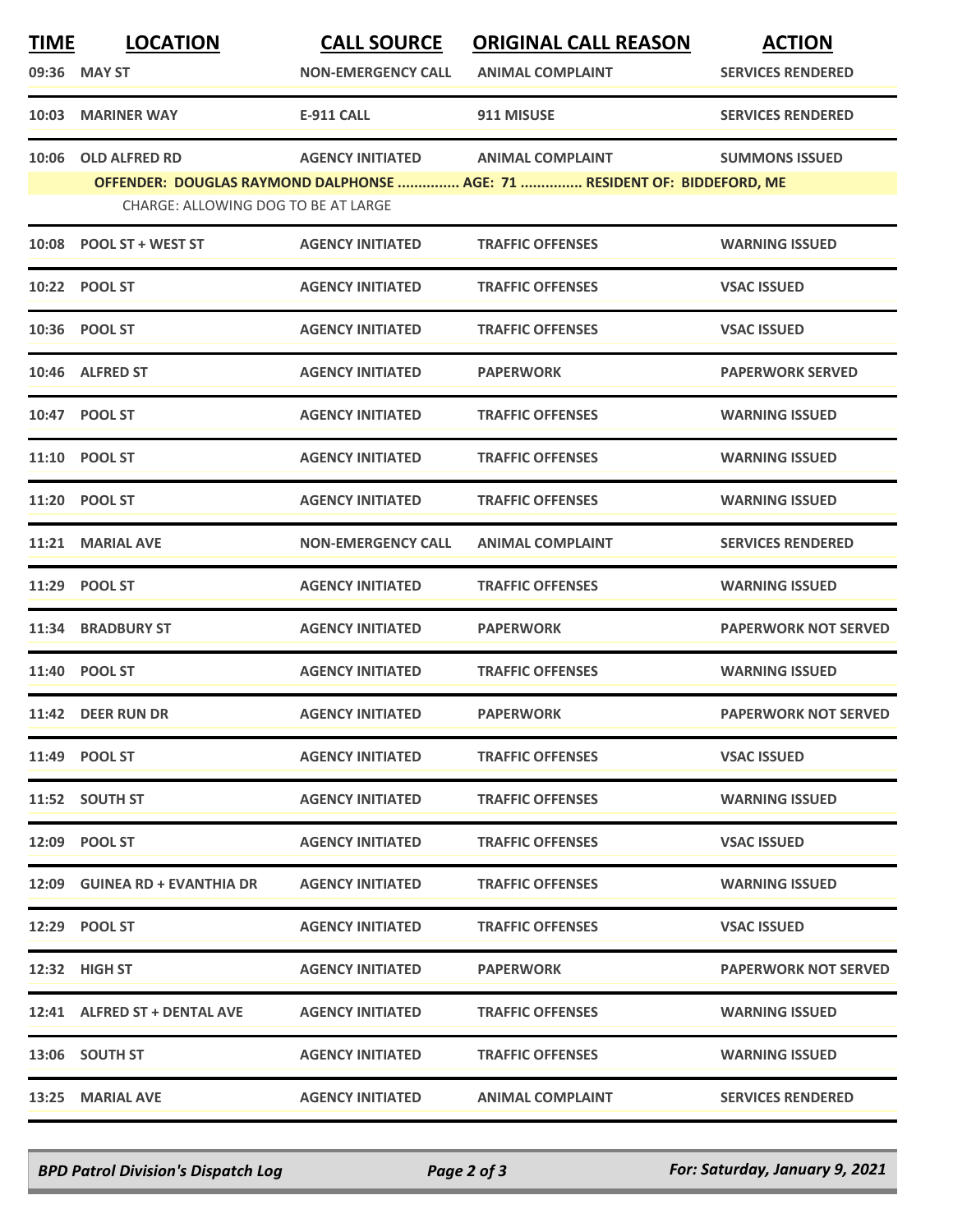| <b>TIME</b> | <b>LOCATION</b>                     | <b>CALL SOURCE</b>        | <b>ORIGINAL CALL REASON</b>                                              | <b>ACTION</b>               |
|-------------|-------------------------------------|---------------------------|--------------------------------------------------------------------------|-----------------------------|
|             | 09:36 MAY ST                        | <b>NON-EMERGENCY CALL</b> | <b>ANIMAL COMPLAINT</b>                                                  | <b>SERVICES RENDERED</b>    |
|             | 10:03 MARINER WAY                   | <b>E-911 CALL</b>         | 911 MISUSE                                                               | <b>SERVICES RENDERED</b>    |
| 10:06       | <b>OLD ALFRED RD</b>                | <b>AGENCY INITIATED</b>   | <b>ANIMAL COMPLAINT</b>                                                  | <b>SUMMONS ISSUED</b>       |
|             | CHARGE: ALLOWING DOG TO BE AT LARGE |                           | OFFENDER: DOUGLAS RAYMOND DALPHONSE  AGE: 71  RESIDENT OF: BIDDEFORD, ME |                             |
|             |                                     |                           |                                                                          |                             |
|             | 10:08 POOL ST + WEST ST             | <b>AGENCY INITIATED</b>   | <b>TRAFFIC OFFENSES</b>                                                  | <b>WARNING ISSUED</b>       |
|             | 10:22 POOL ST                       | <b>AGENCY INITIATED</b>   | <b>TRAFFIC OFFENSES</b>                                                  | <b>VSAC ISSUED</b>          |
|             | 10:36 POOL ST                       | <b>AGENCY INITIATED</b>   | <b>TRAFFIC OFFENSES</b>                                                  | <b>VSAC ISSUED</b>          |
|             | 10:46 ALFRED ST                     | <b>AGENCY INITIATED</b>   | <b>PAPERWORK</b>                                                         | <b>PAPERWORK SERVED</b>     |
|             | 10:47 POOL ST                       | <b>AGENCY INITIATED</b>   | <b>TRAFFIC OFFENSES</b>                                                  | <b>WARNING ISSUED</b>       |
|             | 11:10 POOL ST                       | <b>AGENCY INITIATED</b>   | <b>TRAFFIC OFFENSES</b>                                                  | <b>WARNING ISSUED</b>       |
|             | 11:20 POOL ST                       | <b>AGENCY INITIATED</b>   | <b>TRAFFIC OFFENSES</b>                                                  | <b>WARNING ISSUED</b>       |
| 11:21       | <b>MARIAL AVE</b>                   | <b>NON-EMERGENCY CALL</b> | <b>ANIMAL COMPLAINT</b>                                                  | <b>SERVICES RENDERED</b>    |
|             | 11:29 POOL ST                       | <b>AGENCY INITIATED</b>   | <b>TRAFFIC OFFENSES</b>                                                  | <b>WARNING ISSUED</b>       |
|             | 11:34 BRADBURY ST                   | <b>AGENCY INITIATED</b>   | <b>PAPERWORK</b>                                                         | <b>PAPERWORK NOT SERVED</b> |
|             | 11:40 POOL ST                       | <b>AGENCY INITIATED</b>   | <b>TRAFFIC OFFENSES</b>                                                  | <b>WARNING ISSUED</b>       |
|             | 11:42 DEER RUN DR                   | <b>AGENCY INITIATED</b>   | <b>PAPERWORK</b>                                                         | <b>PAPERWORK NOT SERVED</b> |
|             | 11:49 POOL ST                       | <b>AGENCY INITIATED</b>   | <b>TRAFFIC OFFENSES</b>                                                  | <b>VSAC ISSUED</b>          |
|             | 11:52 SOUTH ST                      | <b>AGENCY INITIATED</b>   | <b>TRAFFIC OFFENSES</b>                                                  | <b>WARNING ISSUED</b>       |
|             | 12:09 POOL ST                       | <b>AGENCY INITIATED</b>   | <b>TRAFFIC OFFENSES</b>                                                  | <b>VSAC ISSUED</b>          |
|             | 12:09 GUINEA RD + EVANTHIA DR       | <b>AGENCY INITIATED</b>   | <b>TRAFFIC OFFENSES</b>                                                  | <b>WARNING ISSUED</b>       |
|             | 12:29 POOL ST                       | <b>AGENCY INITIATED</b>   | <b>TRAFFIC OFFENSES</b>                                                  | <b>VSAC ISSUED</b>          |
|             | 12:32 HIGH ST                       | <b>AGENCY INITIATED</b>   | <b>PAPERWORK</b>                                                         | <b>PAPERWORK NOT SERVED</b> |
|             | 12:41 ALFRED ST + DENTAL AVE        | <b>AGENCY INITIATED</b>   | <b>TRAFFIC OFFENSES</b>                                                  | <b>WARNING ISSUED</b>       |
|             | 13:06 SOUTH ST                      | <b>AGENCY INITIATED</b>   | <b>TRAFFIC OFFENSES</b>                                                  | <b>WARNING ISSUED</b>       |
|             | 13:25 MARIAL AVE                    | <b>AGENCY INITIATED</b>   | <b>ANIMAL COMPLAINT</b>                                                  | <b>SERVICES RENDERED</b>    |

*BPD Patrol Division's Dispatch Log Page 2 of 3 For: Saturday, January 9, 2021*